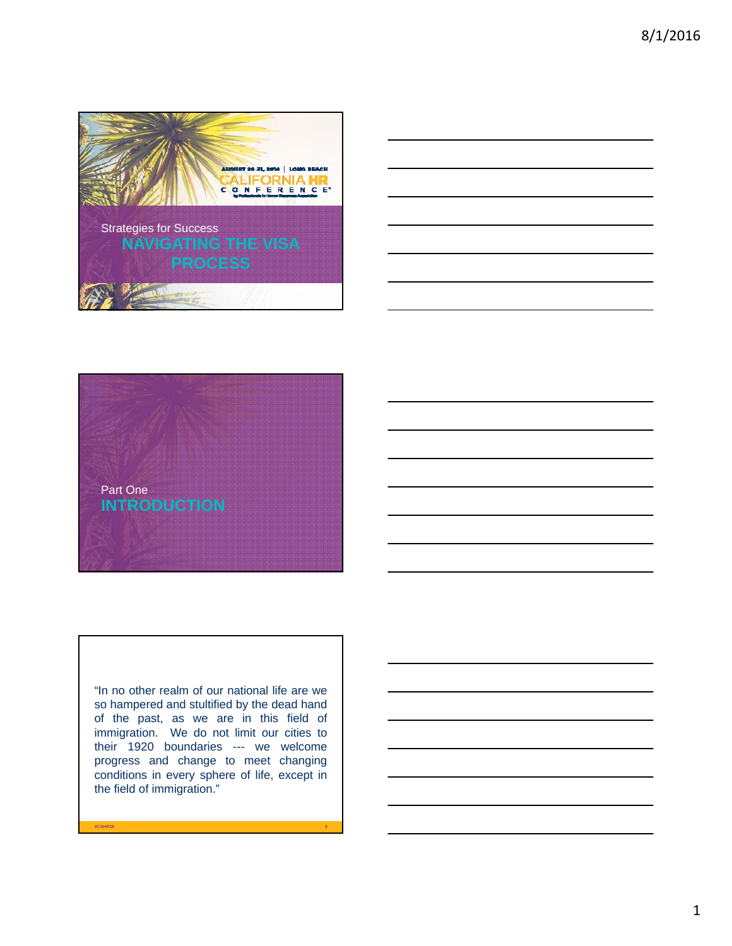





"In no other realm of our national life are we so hampered and stultified by the dead hand of the past, as we are in this field of immigration. We do not limit our cities to their 1920 boundaries --- we welcome progress and change to meet changing conditions in every sphere of life, except in the field of immigration."

**#CAHR16 3**

1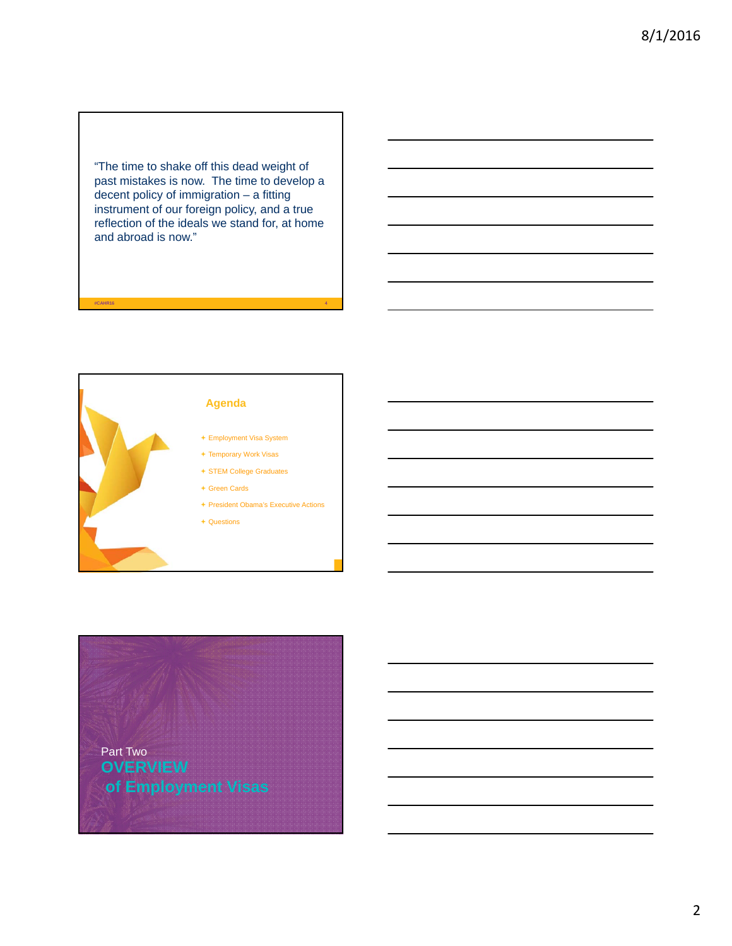"The time to shake off this dead weight of past mistakes is now. The time to develop a decent policy of immigration – a fitting instrument of our foreign policy, and a true reflection of the ideals we stand for, at home and abroad is now."

**#CAHR16 4**





2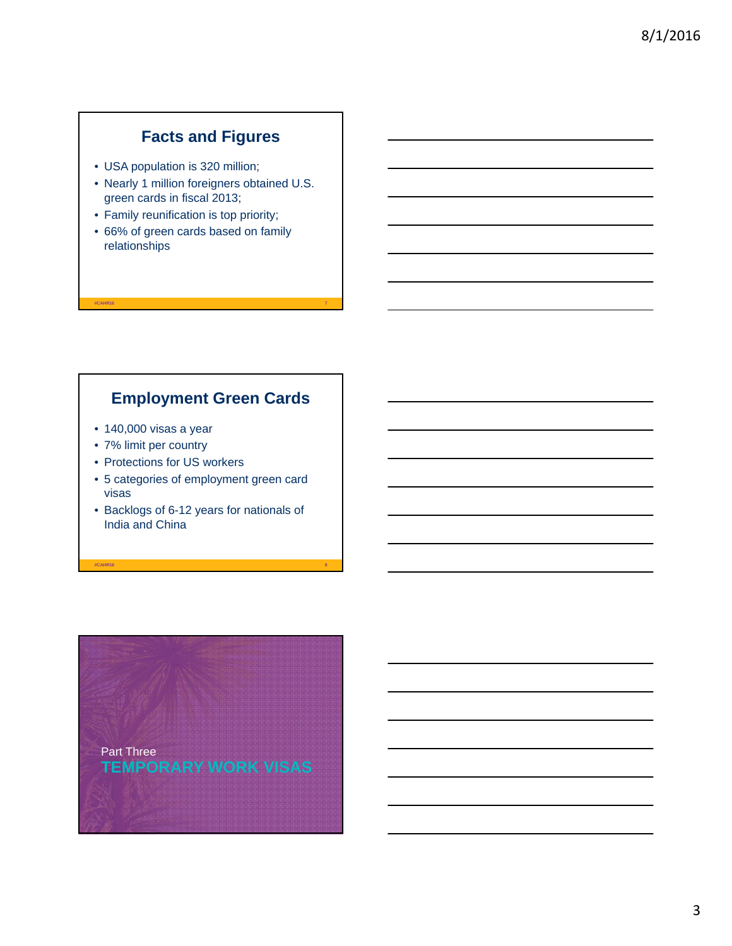## **Facts and Figures**

- USA population is 320 million;
- Nearly 1 million foreigners obtained U.S. green cards in fiscal 2013;
- Family reunification is top priority;
- 66% of green cards based on family relationships

#### **Employment Green Cards**

**#CAHR16 7**

- 140,000 visas a year
- 7% limit per country
- Protections for US workers
- 5 categories of employment green card visas
- Backlogs of 6-12 years for nationals of India and China

**#CAHR16 8**

**TEMPORARY WORK VISAS** Part Three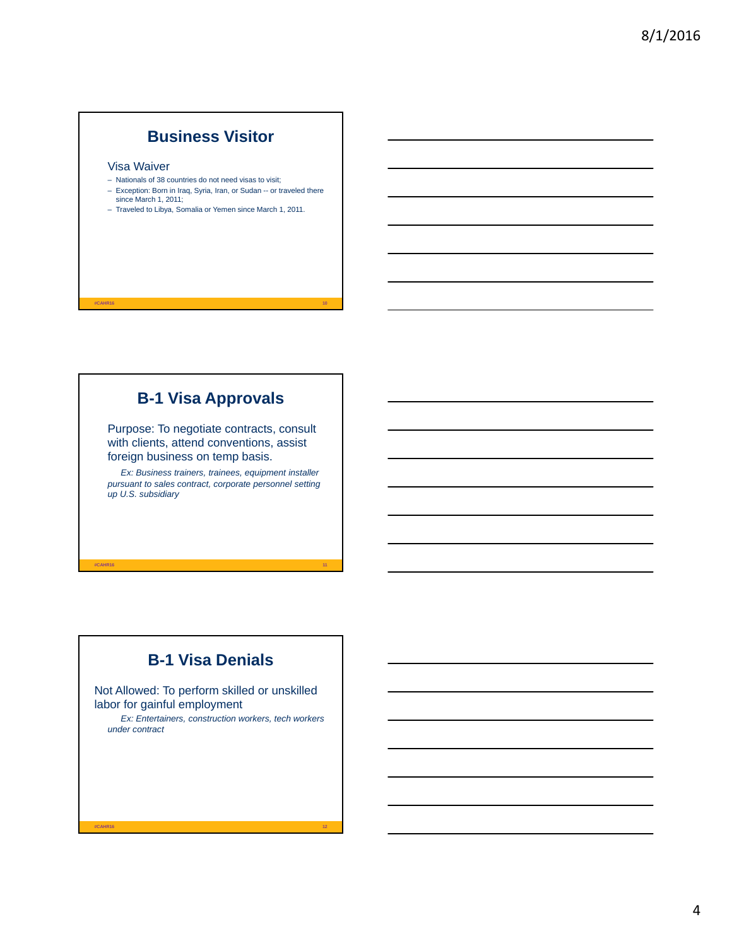#### **Business Visitor**

#### Visa Waiver

- Nationals of 38 countries do not need visas to visit;
- Exception: Born in Iraq, Syria, Iran, or Sudan -- or traveled there since March 1, 2011;
- Traveled to Libya, Somalia or Yemen since March 1, 2011.

## **B-1 Visa Approvals**

**#CAHR16 10**

Purpose: To negotiate contracts, consult with clients, attend conventions, assist foreign business on temp basis.

*Ex: Business trainers, trainees, equipment installer pursuant to sales contract, corporate personnel setting up U.S. subsidiary*

# **B-1 Visa Denials**

**#CAHR16 11**

Not Allowed: To perform skilled or unskilled labor for gainful employment

*Ex: Entertainers, construction workers, tech workers under contract*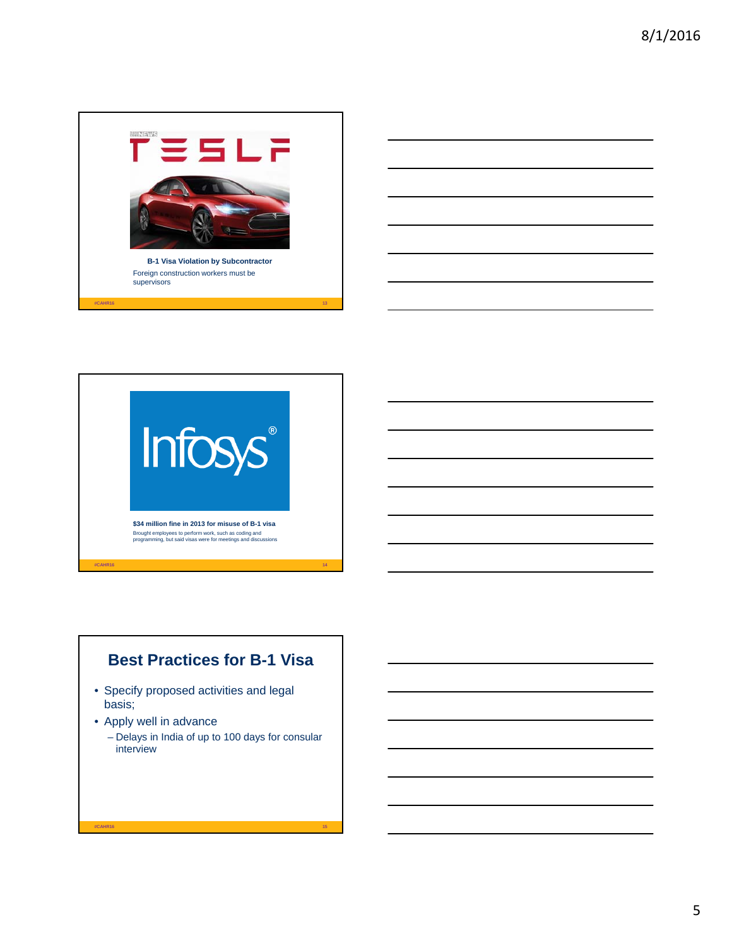



## **Best Practices for B-1 Visa**

- Specify proposed activities and legal basis;
- Apply well in advance
	- Delays in India of up to 100 days for consular interview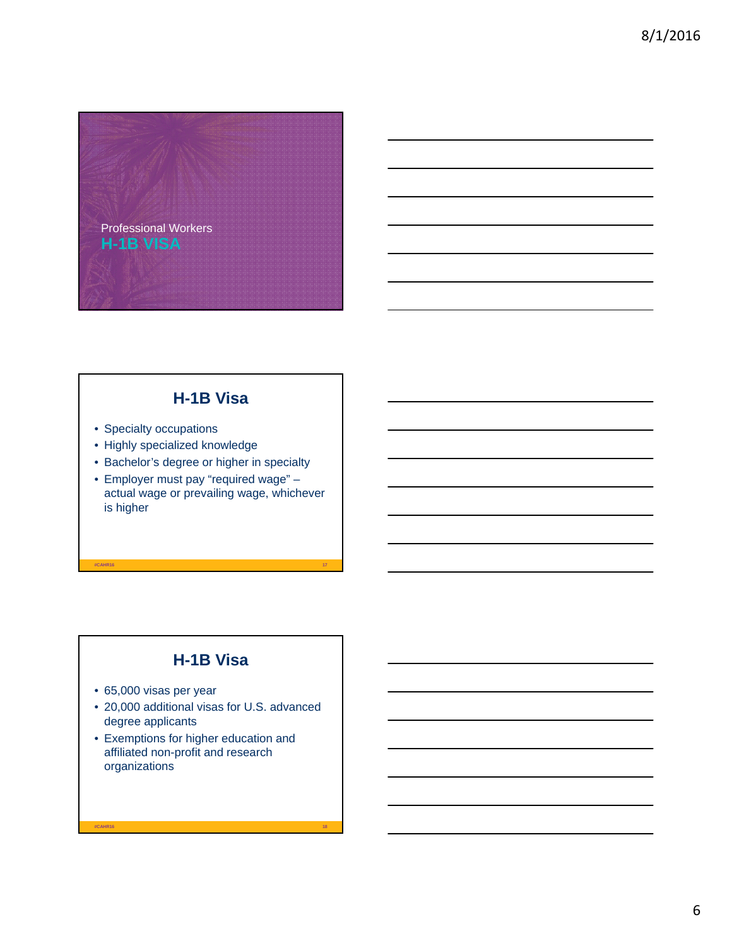

#### **H-1B Visa**

- Specialty occupations
- Highly specialized knowledge
- Bachelor's degree or higher in specialty
- Employer must pay "required wage" actual wage or prevailing wage, whichever is higher

**#CAHR16 17**

# **H-1B Visa**

- 65,000 visas per year
- 20,000 additional visas for U.S. advanced degree applicants

**#CAHR16 18**

• Exemptions for higher education and affiliated non-profit and research organizations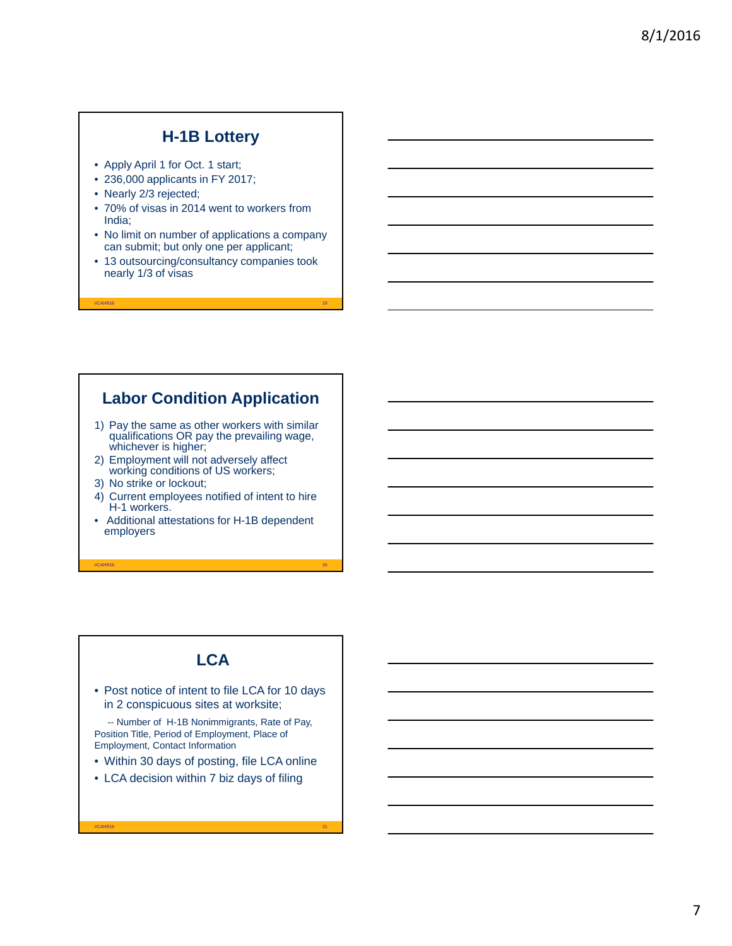#### **H-1B Lottery**

- Apply April 1 for Oct. 1 start;
- 236,000 applicants in FY 2017;
- Nearly 2/3 rejected;
- 70% of visas in 2014 went to workers from India;
- No limit on number of applications a company can submit; but only one per applicant;
- 13 outsourcing/consultancy companies took nearly 1/3 of visas

**#CAHR16 19**

#### **Labor Condition Application**

- 1) Pay the same as other workers with similar qualifications OR pay the prevailing wage, whichever is higher;
- 2) Employment will not adversely affect working conditions of US workers;
- 3) No strike or lockout;
- 4) Current employees notified of intent to hire H-1 workers.
- Additional attestations for H-1B dependent employers

**#CAHR16 20**

#### **LCA**

• Post notice of intent to file LCA for 10 days in 2 conspicuous sites at worksite;

-- Number of H-1B Nonimmigrants, Rate of Pay, Position Title, Period of Employment, Place of Employment, Contact Information

• Within 30 days of posting, file LCA online

**#CAHR16 21**

• LCA decision within 7 biz days of filing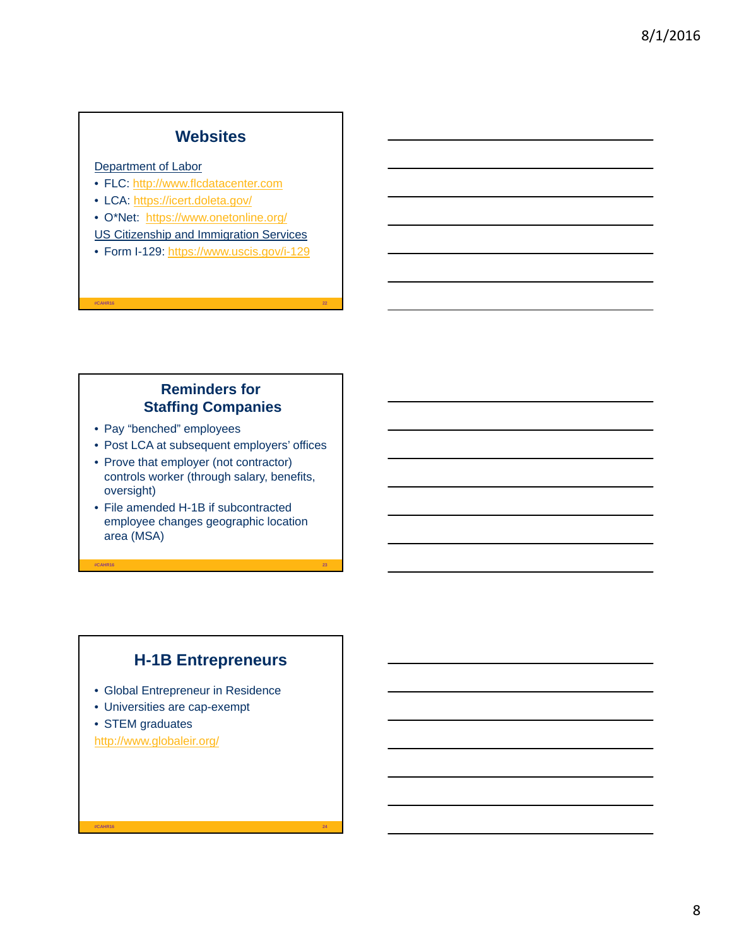#### **Websites**

#### Department of Labor

- FLC: http://www.flcdatacenter.com
- LCA: https://icert.doleta.gov/
- O\*Net: https://www.onetonline.org/
- US Citizenship and Immigration Services
- Form I-129: https://www.uscis.gov/i-129

**#CAHR16 22**

#### **Reminders for Staffing Companies**

- Pay "benched" employees
- Post LCA at subsequent employers' offices
- Prove that employer (not contractor) controls worker (through salary, benefits, oversight)
- File amended H-1B if subcontracted employee changes geographic location area (MSA)

**#CAHR16 23**

## **H-1B Entrepreneurs**

**#CAHR16 24**

- Global Entrepreneur in Residence
- Universities are cap-exempt
- STEM graduates

http://www.globaleir.org/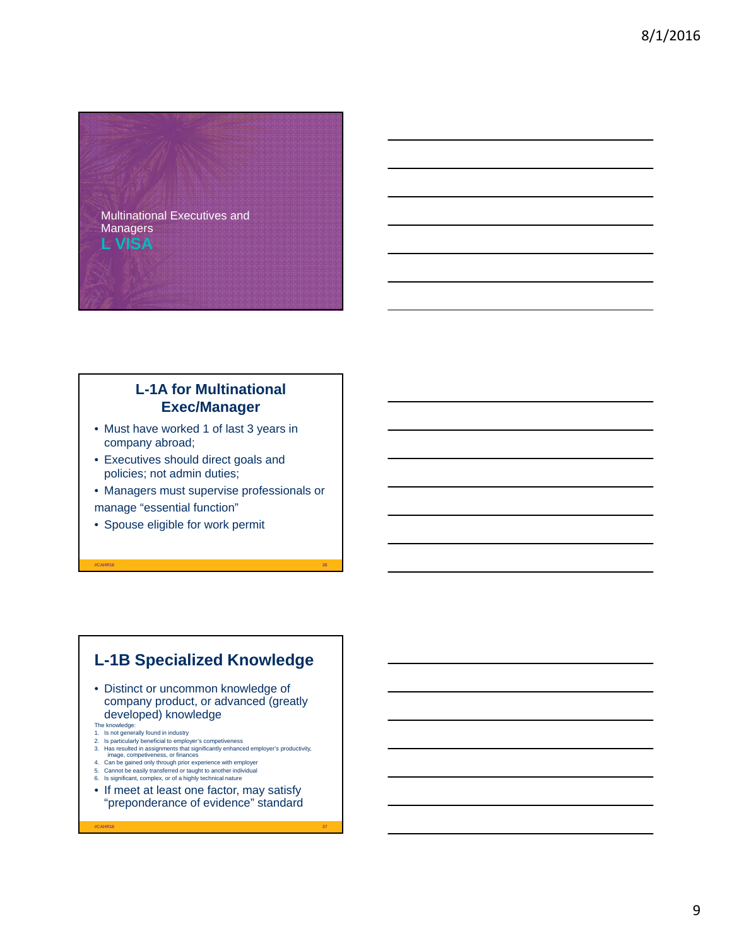

#### **L-1A for Multinational Exec/Manager**

- Must have worked 1 of last 3 years in company abroad;
- Executives should direct goals and policies; not admin duties;
- Managers must supervise professionals or manage "essential function"

**#CAHR16 26**

• Spouse eligible for work permit

#### **L-1B Specialized Knowledge**

- Distinct or uncommon knowledge of company product, or advanced (greatly developed) knowledge
- 
- 
- The knowledge:<br>1. Is not generally found in industry<br>2. Is particularly beneficial to employer's competiveness<br>3. Has resulted in assignments that significantly enhanced employer's productivity,<br>image, competiveness, or fi
- 
- 4. Can be gained only through prior experience with employer 5. Cannot be easily transferred or taught to another individual
- 6. Is significant, complex, or of a highly technical nature
- If meet at least one factor, may satisfy "preponderance of evidence" standard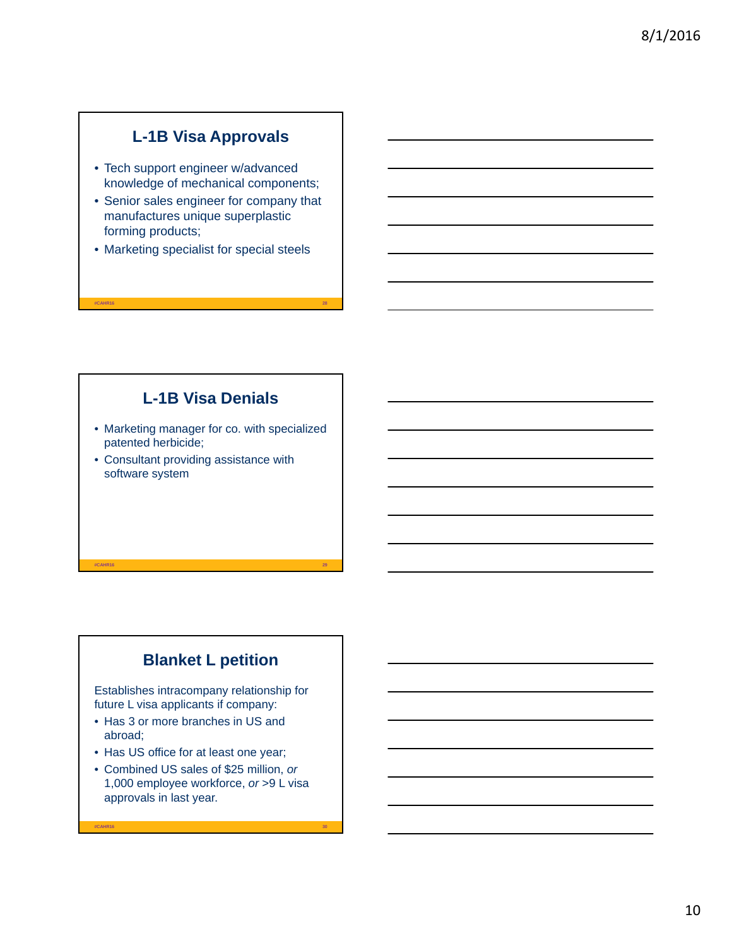## **L-1B Visa Approvals**

- Tech support engineer w/advanced knowledge of mechanical components;
- Senior sales engineer for company that manufactures unique superplastic forming products;
- Marketing specialist for special steels

**#CAHR16 28**

## **L-1B Visa Denials**

- Marketing manager for co. with specialized patented herbicide;
- Consultant providing assistance with software system

## **Blanket L petition**

**#CAHR16 29**

Establishes intracompany relationship for future L visa applicants if company:

- Has 3 or more branches in US and abroad;
- Has US office for at least one year;
- Combined US sales of \$25 million, *or* 1,000 employee workforce, *or* >9 L visa approvals in last year.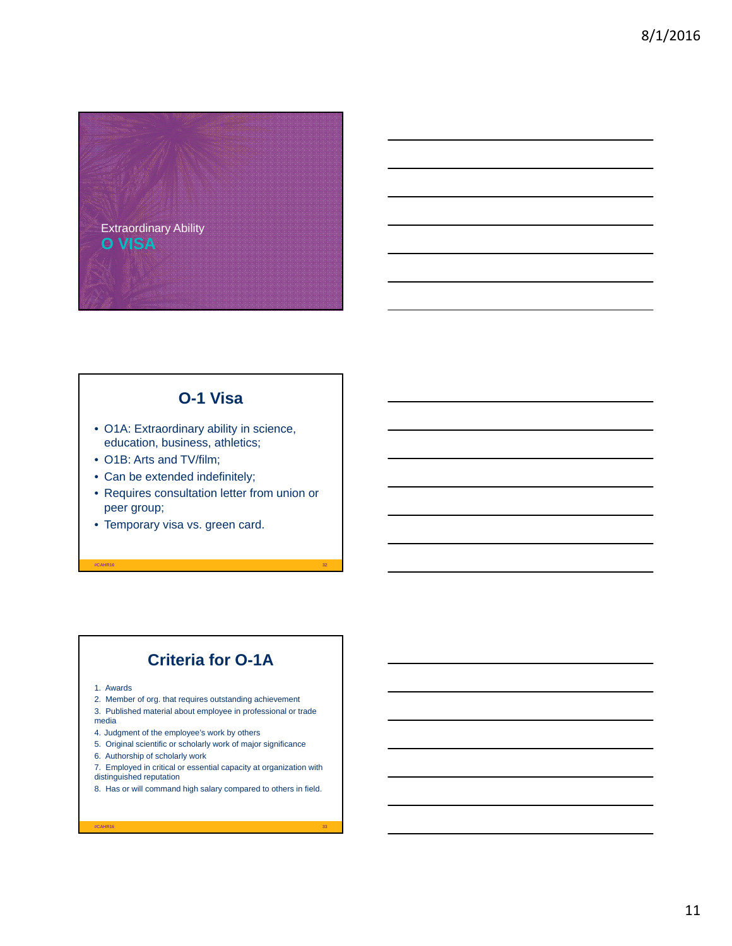

## **O-1 Visa**

- O1A: Extraordinary ability in science, education, business, athletics;
- O1B: Arts and TV/film;
- Can be extended indefinitely;
- Requires consultation letter from union or peer group;

**#CAHR16 32**

• Temporary visa vs. green card.

## **Criteria for O-1A**

- 1. Awards
- 2. Member of org. that requires outstanding achievement
- 3. Published material about employee in professional or trade media
- 4. Judgment of the employee's work by others
- 5. Original scientific or scholarly work of major significance
- 6. Authorship of scholarly work
- 7. Employed in critical or essential capacity at organization with distinguished reputation
- 8. Has or will command high salary compared to others in field.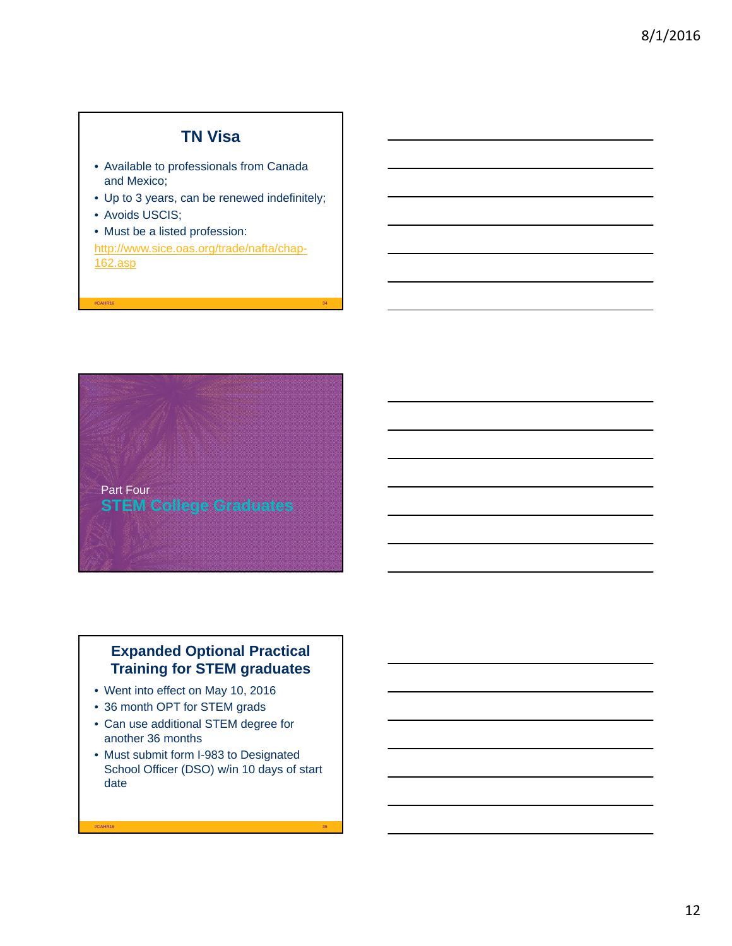#### **TN Visa**

- Available to professionals from Canada and Mexico;
- Up to 3 years, can be renewed indefinitely;
- Avoids USCIS;
- Must be a listed profession:

http://www.sice.oas.org/trade/nafta/chap-162.asp

**#CAHR16 34**



#### **Expanded Optional Practical Training for STEM graduates**

- Went into effect on May 10, 2016
- 36 month OPT for STEM grads
- Can use additional STEM degree for another 36 months
- Must submit form I-983 to Designated School Officer (DSO) w/in 10 days of start date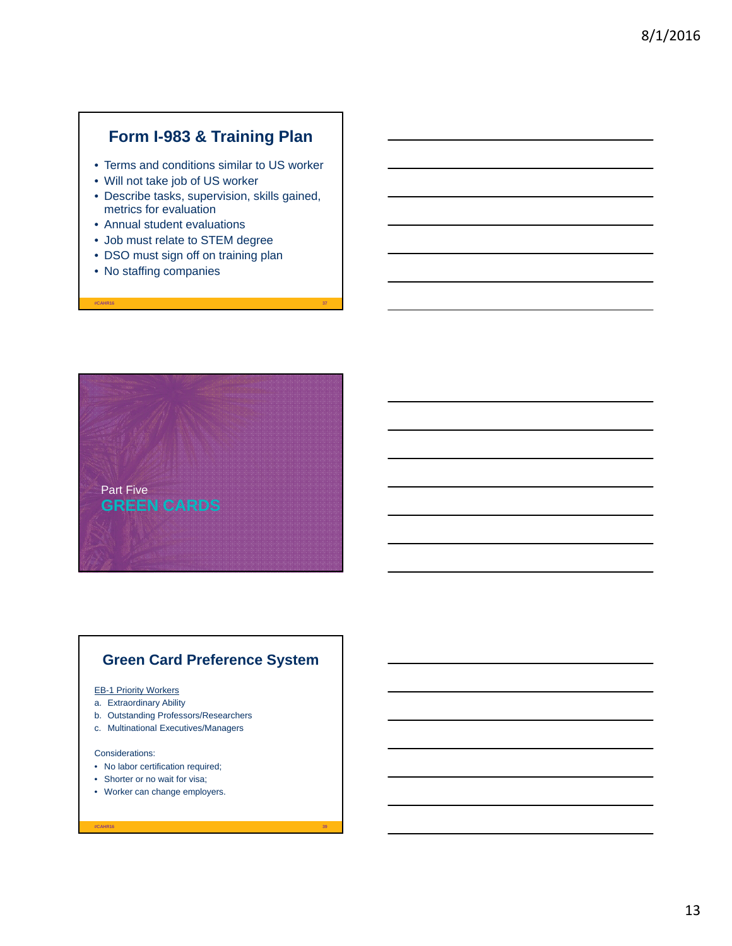#### **Form I-983 & Training Plan**

- Terms and conditions similar to US worker
- Will not take job of US worker
- Describe tasks, supervision, skills gained, metrics for evaluation

**#CAHR16 37**

- Annual student evaluations
- Job must relate to STEM degree
- DSO must sign off on training plan
- No staffing companies



#### **Green Card Preference System**

**#CAHR16 39**

#### EB-1 Priority Workers

- a. Extraordinary Ability
- b. Outstanding Professors/Researchers
- c. Multinational Executives/Managers

#### Considerations:

- No labor certification required;
- Shorter or no wait for visa;
- Worker can change employers.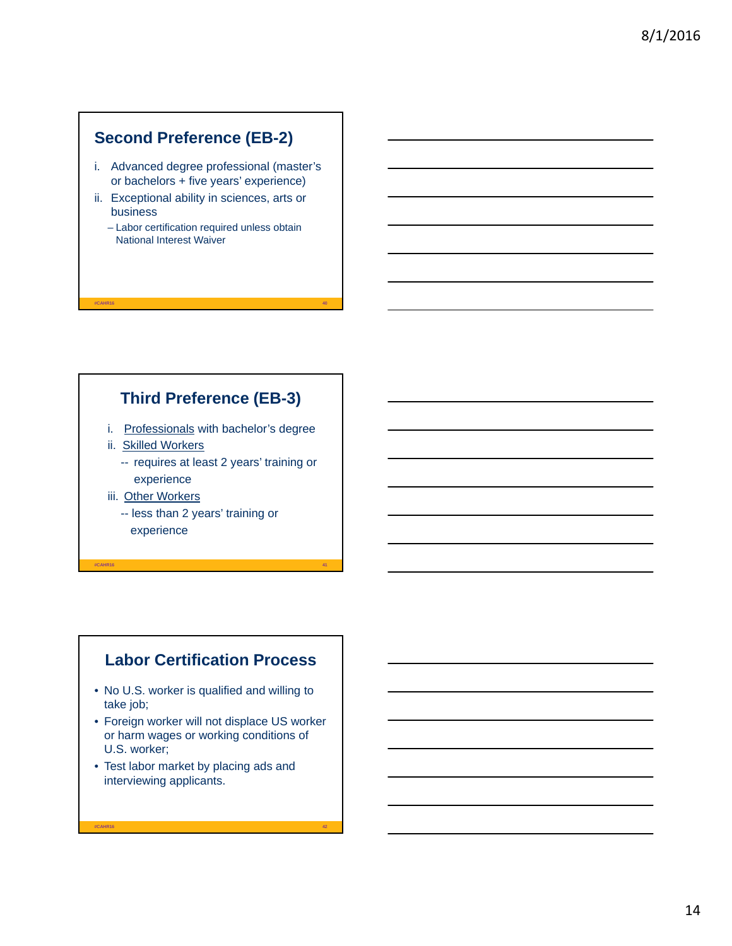#### **Second Preference (EB-2)**

- i. Advanced degree professional (master's or bachelors + five years' experience)
- ii. Exceptional ability in sciences, arts or business
	- Labor certification required unless obtain National Interest Waiver

#### **Third Preference (EB-3)**

**#CAHR16 40**

- i. Professionals with bachelor's degree
- ii. Skilled Workers
	- -- requires at least 2 years' training or experience
- iii. Other Workers
	- -- less than 2 years' training or experience

**#CAHR16 41**

#### **Labor Certification Process**

- No U.S. worker is qualified and willing to take job;
- Foreign worker will not displace US worker or harm wages or working conditions of U.S. worker;

**#CAHR16 42**

• Test labor market by placing ads and interviewing applicants.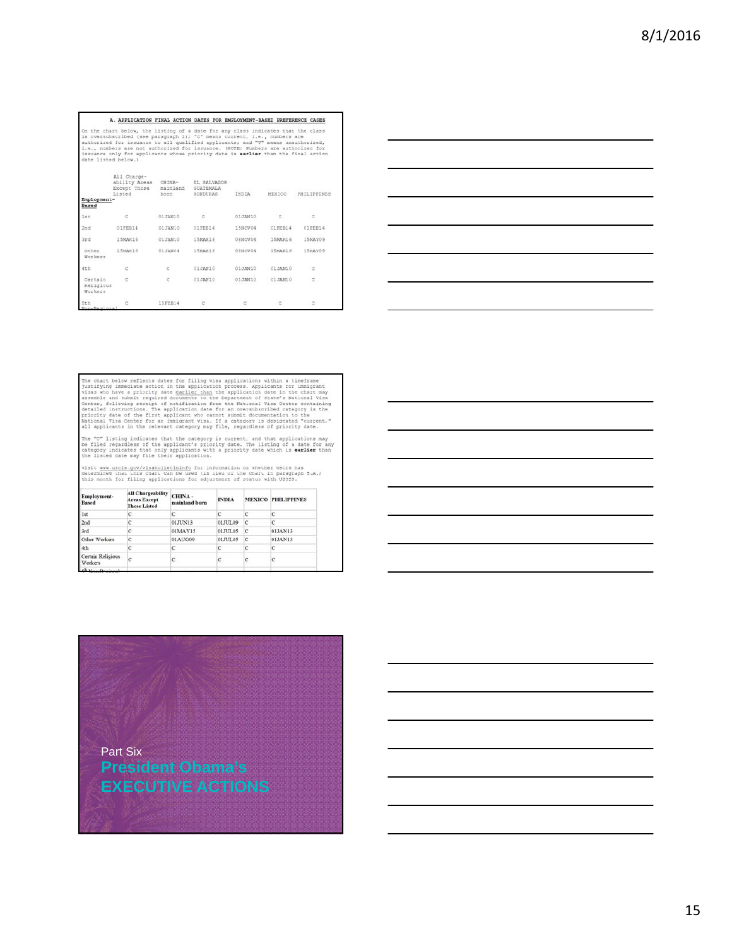#### A. APPLICATION FINAL ACTION DATES FOR EMPLOYMENT-BASED PREFERENCE CASES

A. APPLICATION FINAL ACTION DATES FOR EMPLOYMENT-BASED PRETERENCE CASES<br>on the chart below, the listing of a date for any class indicates that the class<br>is oversubscribed (see paragraph 1); "C" means current, i.e., numbers

|                                 | All Charge-<br>ability Areas CHINA-<br>Except Those<br>Listed | mainland<br>born | EL SALVADOR<br>GUATEMALA<br>HONDURAS | INDIA   | MEXICO  | PHILIPPINES |
|---------------------------------|---------------------------------------------------------------|------------------|--------------------------------------|---------|---------|-------------|
| Employment-<br>Based            |                                                               |                  |                                      |         |         |             |
| 1st                             | c                                                             | 01JAN10          | Ċ                                    | 01JAN10 | c       | c           |
| 2nd                             | 01FEB14                                                       | 01JAN10          | 01FEB14                              | 15NOV04 | 01FEB14 | 01FEB14     |
| 3rd                             | 15MAR16                                                       | 01JAN10          | 1SMAR16                              | 08NOV04 | 15MAR16 | 15MAY09     |
| Other<br>Workers                | 15MAR16                                                       | 01JAN04          | 15MAR16                              | 08NOV04 | 15MAR16 | 15MAY09     |
| 4th                             | ć                                                             | C                | 01JAN10                              | 01JAN10 | 01JAN10 | c           |
| Certain<br>Religious<br>Workers | è                                                             | c                | 01JAN10                              | 01JAN10 | 01JAN10 | ċ           |
| 5th<br>Mon-Daninna              | c                                                             | 15FEB14          | c                                    | c       | c       | c           |



The chart below reflects dates for filing visa applications within a timeframe justifying immediate action in the application process. Applicants for immigrant visas who have a priority date e<u>arlier than</u> the explication

The "C" listing indicates that the category is current, and that applications may<br>be filed regardless of the applicant's priority date. The listing of a date for any<br>category indicates that only applicants with a priority

Visit <u>www.uscis.gov/visabulletininfo</u> for information on whether USCIS has<br>determined that this chart can be used (in lieu of the chart in paragraph 5.A.)<br>this month for filing applications for adjustment of status with U

| Employment-<br><b>Based</b>  | <b>All Chargeability</b><br><b>Areas Except</b><br><b>Those Listed</b> | CHINA-<br>mainland born | <b>INDIA</b> |              | <b>MEXICO PHILIPPINES</b> |
|------------------------------|------------------------------------------------------------------------|-------------------------|--------------|--------------|---------------------------|
| Ist                          |                                                                        |                         |              |              |                           |
| 2nd                          |                                                                        | 01JUN13                 | 01JUL09      |              |                           |
| 3rd                          |                                                                        | 01MAY15                 | 01JUL05      | кc           | 01JAN13                   |
| Other Workers                |                                                                        | 01AUG09                 | 01JUL05      | $\mathbf{C}$ | 01JAN13                   |
| 4th                          |                                                                        | Ċ                       |              |              |                           |
| Certain Religious<br>Workers |                                                                        |                         |              |              |                           |
|                              |                                                                        |                         |              |              |                           |

# **President Obama's EXECUTIVE ACTIONS** Part Six